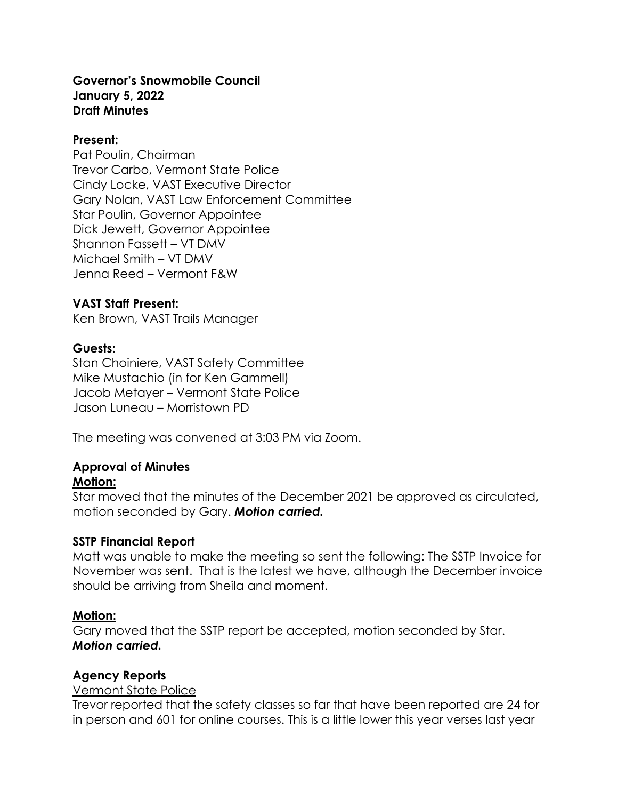#### **Governor's Snowmobile Council January 5, 2022 Draft Minutes**

#### **Present:**

Pat Poulin, Chairman Trevor Carbo, Vermont State Police Cindy Locke, VAST Executive Director Gary Nolan, VAST Law Enforcement Committee Star Poulin, Governor Appointee Dick Jewett, Governor Appointee Shannon Fassett – VT DMV Michael Smith – VT DMV Jenna Reed – Vermont F&W

### **VAST Staff Present:**

Ken Brown, VAST Trails Manager

## **Guests:**

Stan Choiniere, VAST Safety Committee Mike Mustachio (in for Ken Gammell) Jacob Metayer – Vermont State Police Jason Luneau – Morristown PD

The meeting was convened at 3:03 PM via Zoom.

# **Approval of Minutes**

### **Motion:**

Star moved that the minutes of the December 2021 be approved as circulated, motion seconded by Gary. *Motion carried.*

### **SSTP Financial Report**

Matt was unable to make the meeting so sent the following: The SSTP Invoice for November was sent. That is the latest we have, although the December invoice should be arriving from Sheila and moment.

### **Motion:**

Gary moved that the SSTP report be accepted, motion seconded by Star. *Motion carried.*

# **Agency Reports**

### Vermont State Police

Trevor reported that the safety classes so far that have been reported are 24 for in person and 601 for online courses. This is a little lower this year verses last year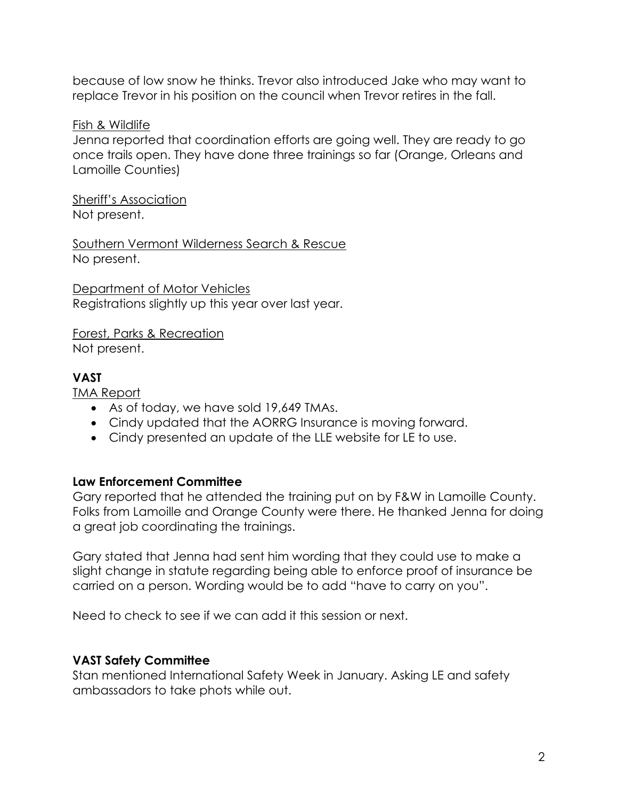because of low snow he thinks. Trevor also introduced Jake who may want to replace Trevor in his position on the council when Trevor retires in the fall.

Fish & Wildlife

Jenna reported that coordination efforts are going well. They are ready to go once trails open. They have done three trainings so far (Orange, Orleans and Lamoille Counties)

Sheriff's Association Not present.

Southern Vermont Wilderness Search & Rescue No present.

Department of Motor Vehicles Registrations slightly up this year over last year.

Forest, Parks & Recreation Not present.

# **VAST**

TMA Report

- As of today, we have sold 19,649 TMAs.
- Cindy updated that the AORRG Insurance is moving forward.
- Cindy presented an update of the LLE website for LE to use.

### **Law Enforcement Committee**

Gary reported that he attended the training put on by F&W in Lamoille County. Folks from Lamoille and Orange County were there. He thanked Jenna for doing a great job coordinating the trainings.

Gary stated that Jenna had sent him wording that they could use to make a slight change in statute regarding being able to enforce proof of insurance be carried on a person. Wording would be to add "have to carry on you".

Need to check to see if we can add it this session or next.

# **VAST Safety Committee**

Stan mentioned International Safety Week in January. Asking LE and safety ambassadors to take phots while out.